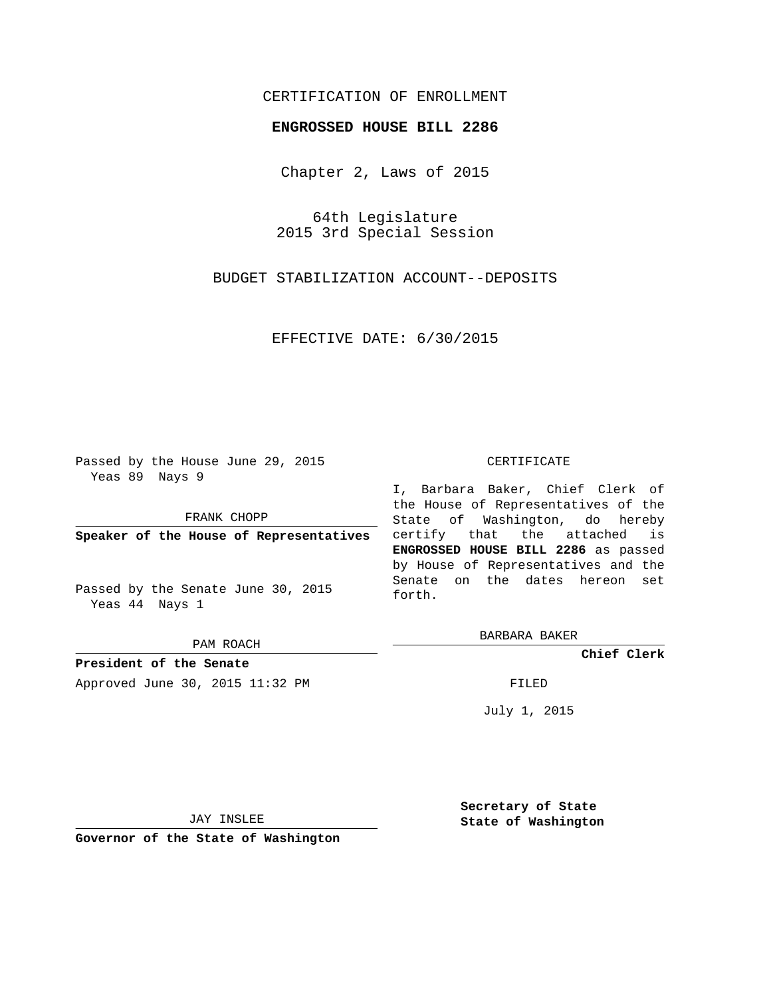## CERTIFICATION OF ENROLLMENT

## **ENGROSSED HOUSE BILL 2286**

Chapter 2, Laws of 2015

64th Legislature 2015 3rd Special Session

BUDGET STABILIZATION ACCOUNT--DEPOSITS

EFFECTIVE DATE: 6/30/2015

Passed by the House June 29, 2015 Yeas 89 Nays 9

FRANK CHOPP

**Speaker of the House of Representatives**

Passed by the Senate June 30, 2015 Yeas 44 Nays 1

PAM ROACH

**President of the Senate** Approved June 30, 2015 11:32 PM FILED

## CERTIFICATE

I, Barbara Baker, Chief Clerk of the House of Representatives of the State of Washington, do hereby certify that the attached is **ENGROSSED HOUSE BILL 2286** as passed by House of Representatives and the Senate on the dates hereon set forth.

BARBARA BAKER

**Chief Clerk**

July 1, 2015

JAY INSLEE

**Governor of the State of Washington**

**Secretary of State State of Washington**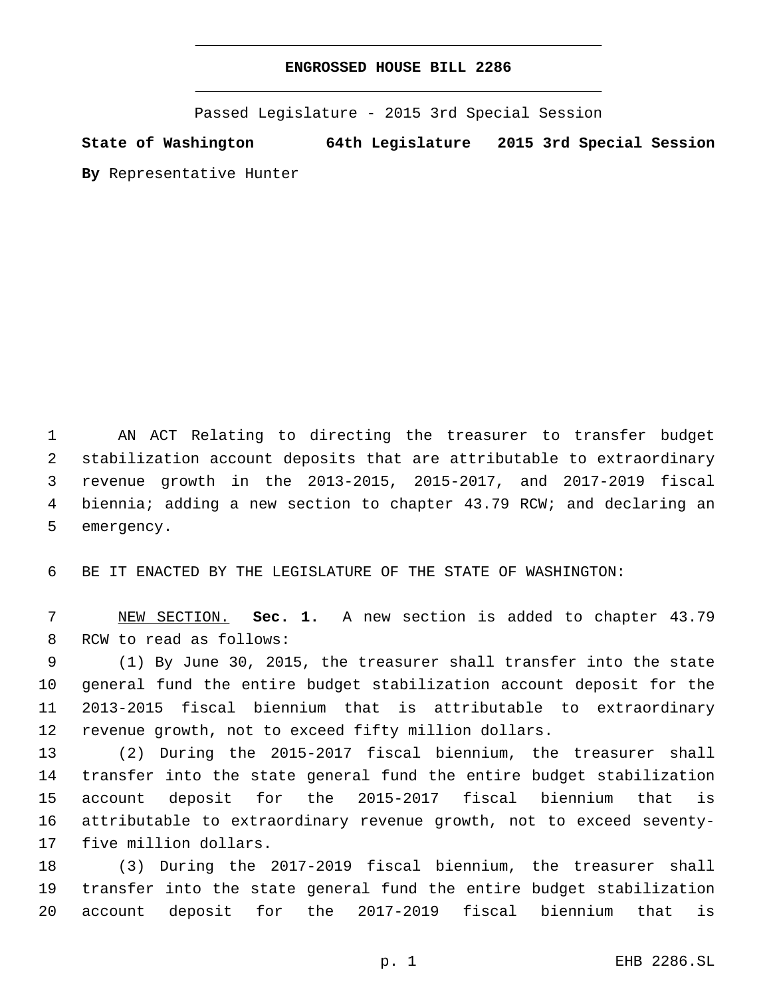## **ENGROSSED HOUSE BILL 2286**

Passed Legislature - 2015 3rd Special Session

**State of Washington 64th Legislature 2015 3rd Special Session**

**By** Representative Hunter

 AN ACT Relating to directing the treasurer to transfer budget stabilization account deposits that are attributable to extraordinary revenue growth in the 2013-2015, 2015-2017, and 2017-2019 fiscal biennia; adding a new section to chapter 43.79 RCW; and declaring an 5 emergency.

BE IT ENACTED BY THE LEGISLATURE OF THE STATE OF WASHINGTON:

 NEW SECTION. **Sec. 1.** A new section is added to chapter 43.79 8 RCW to read as follows:

 (1) By June 30, 2015, the treasurer shall transfer into the state general fund the entire budget stabilization account deposit for the 2013-2015 fiscal biennium that is attributable to extraordinary revenue growth, not to exceed fifty million dollars.

 (2) During the 2015-2017 fiscal biennium, the treasurer shall transfer into the state general fund the entire budget stabilization account deposit for the 2015-2017 fiscal biennium that is attributable to extraordinary revenue growth, not to exceed seventy-17 five million dollars.

 (3) During the 2017-2019 fiscal biennium, the treasurer shall transfer into the state general fund the entire budget stabilization account deposit for the 2017-2019 fiscal biennium that is